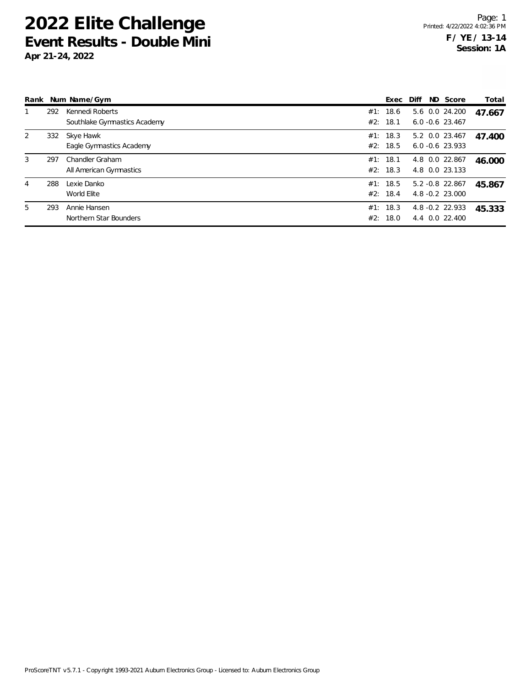| Rank |     | Num Name/Gym                                    |     | Exec                 | Diff | ND Score                             | Total  |
|------|-----|-------------------------------------------------|-----|----------------------|------|--------------------------------------|--------|
|      | 292 | Kennedi Roberts<br>Southlake Gymnastics Academy |     | #1: 18.6<br>#2: 18.1 |      | 5.6 0.0 24.200<br>$6.0 - 0.6$ 23.467 | 47.667 |
| 2    | 332 | Skye Hawk<br>Eagle Gymnastics Academy           |     | #1: 18.3<br>#2: 18.5 |      | 5.2 0.0 23.467<br>$6.0 - 0.6$ 23.933 | 47.400 |
| 3    | 297 | Chandler Graham<br>All American Gymnastics      |     | #1: 18.1<br>#2: 18.3 |      | 4.8 0.0 22.867<br>4.8 0.0 23.133     | 46.000 |
| 4    | 288 | Lexie Danko<br>World Elite                      |     | #1: 18.5<br>#2: 18.4 |      | 5.2 - 0.8 22.867<br>4.8 -0.2 23.000  | 45.867 |
| 5    | 293 | Annie Hansen<br>Northern Star Bounders          | #2: | #1: 18.3<br>18.0     |      | 4.8 - 0.2 22.933<br>4.4 0.0 22.400   | 45.333 |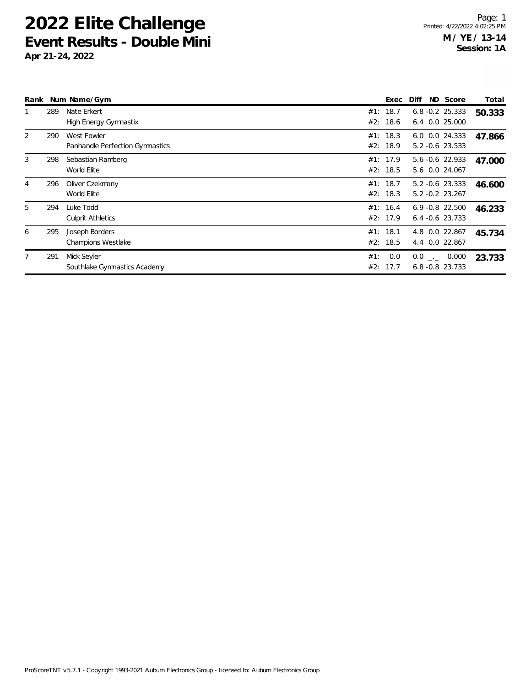|                |     | Rank Num Name/Gym                              |            | Exec                 | Diff                                     | ND Score | Total  |
|----------------|-----|------------------------------------------------|------------|----------------------|------------------------------------------|----------|--------|
|                | 289 | Nate Erkert<br>High Energy Gymnastix           | #1:<br>#2: | 18.7<br>18.6         | $6.8 - 0.2$ 25.333<br>6.4 0.0 25.000     |          | 50.333 |
| $\overline{2}$ | 290 | West Fowler<br>Panhandle Perfection Gymnastics | #1:<br>#2: | 18.3<br>18.9         | 6.0 0.0 24.333<br>5.2 -0.6 23.533        |          | 47.866 |
| 3              | 298 | Sebastian Ramberg<br>World Elite               | #1:<br>#2: | 17.9<br>18.5         | 5.6 -0.6 22.933<br>5.6 0.0 24.067        |          | 47.000 |
| 4              | 296 | Oliver Czekmany<br>World Elite                 | #1:        | 18.7<br>#2: 18.3     | $5.2 -0.6$ 23.333<br>$5.2 - 0.2$ 23.267  |          | 46.600 |
| 5              | 294 | Luke Todd<br><b>Culprit Athletics</b>          |            | #1: 16.4<br>#2: 17.9 | $6.9 - 0.8$ 22.500<br>$6.4 - 0.6$ 23.733 |          | 46.233 |
| 6              | 295 | Joseph Borders<br><b>Champions Westlake</b>    |            | #1: 18.1<br>#2: 18.5 | 4.8 0.0 22.867<br>4.4 0.0 22.867         |          | 45.734 |
| $7^{\circ}$    | 291 | Mick Seyler<br>Southlake Gymnastics Academy    | #1:<br>#2: | 0.0<br>17.7          | $0.0$ _._ 0.000<br>$6.8 - 0.8$ 23.733    |          | 23.733 |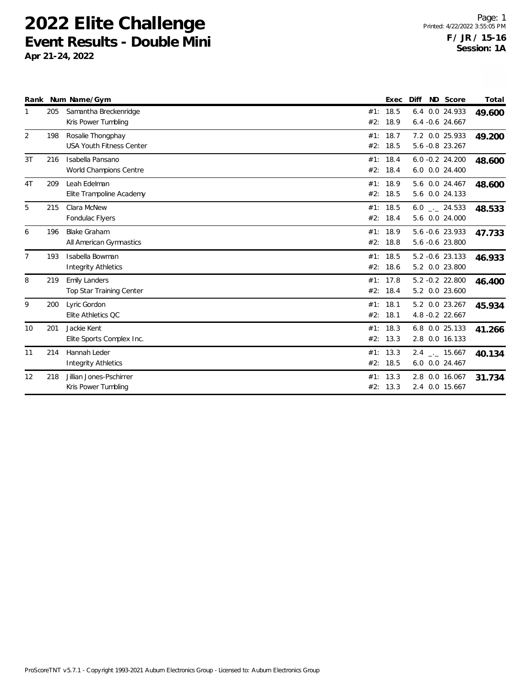|                |     | Rank Num Name/Gym                                    |     | Exec                 | Diff                                           | ND Score | Total  |
|----------------|-----|------------------------------------------------------|-----|----------------------|------------------------------------------------|----------|--------|
| 1              | 205 | Samantha Breckenridge<br>Kris Power Tumbling         | #2: | #1: 18.5<br>18.9     | 6.4 0.0 24.933<br>$6.4 - 0.6$ 24.667           |          | 49.600 |
| 2              | 198 | Rosalie Thongphay<br><b>USA Youth Fitness Center</b> |     | #1: 18.7<br>#2: 18.5 | 7.2 0.0 25.933<br>5.6 -0.8 23.267              |          | 49.200 |
| 3T             | 216 | Isabella Pansano<br>World Champions Centre           |     | #1: 18.4<br>#2: 18.4 | $6.0 - 0.2$ 24.200<br>6.0 0.0 24.400           |          | 48.600 |
| 4T             | 209 | Leah Edelman<br>Elite Trampoline Academy             |     | #1: 18.9<br>#2: 18.5 | 5.6 0.0 24.467<br>5.6 0.0 24.133               |          | 48.600 |
| 5              | 215 | Clara McNew<br>Fondulac Flyers                       |     | #1: 18.5<br>#2: 18.4 | $6.0$ $_{-1}$ 24.533<br>5.6 0.0 24.000         |          | 48.533 |
| 6              | 196 | <b>Blake Graham</b><br>All American Gymnastics       |     | #1: 18.9<br>#2: 18.8 | 5.6 -0.6 23.933<br>5.6 -0.6 23.800             |          | 47.733 |
| $\overline{7}$ | 193 | Isabella Bowman<br><b>Integrity Athletics</b>        |     | #1: 18.5<br>#2: 18.6 | 5.2 -0.6 23.133<br>5.2 0.0 23.800              |          | 46.933 |
| 8              | 219 | <b>Emily Landers</b><br>Top Star Training Center     |     | #1: 17.8<br>#2: 18.4 | 5.2 -0.2 22.800<br>5.2 0.0 23.600              |          | 46.400 |
| 9              | 200 | Lyric Gordon<br>Elite Athletics QC                   |     | #1: 18.1<br>#2: 18.1 | 5.2 0.0 23.267<br>4.8 -0.2 22.667              |          | 45.934 |
| 10             | 201 | Jackie Kent<br>Elite Sports Complex Inc.             |     | #1: 18.3<br>#2: 13.3 | 6.8 0.0 25.133<br>2.8 0.0 16.133               |          | 41.266 |
| 11             | 214 | Hannah Leder<br><b>Integrity Athletics</b>           |     | #1: 13.3<br>#2: 18.5 | $2.4$ $_{\leftarrow}$ 15.667<br>6.0 0.0 24.467 |          | 40.134 |
| 12             | 218 | Jillian Jones-Pschirrer<br>Kris Power Tumbling       |     | #1: 13.3<br>#2: 13.3 | 2.8 0.0 16.067<br>2.4 0.0 15.667               |          | 31.734 |